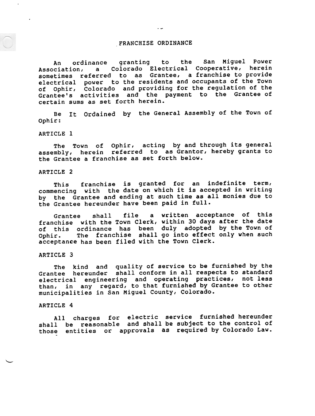# .FRANCHISE ORDINANCE

An ordinance granting to the San Miguel Power Association, a Colorado Electrical Cooperative, herein sometimes referred to as Grantee, a franchise to provide electrical power to the residents and occupants of the Town of Ophir, Colorado and providing for the regulation of the Grantee's activities and the payment to the Grantee of certain sums as set forth herein.

Ordained by the General Assembly of the Town of Be Ophir:

# ARTICLE 1

-

.

The Town of Ophir, acting by and through its genera assembly, herein referred to as Grantor, hereby grants to the Grantee a franchise as set forth below

# ARTICLE 2

This franchise is granted for an indefinite term commencing with the date on which it is accepted in writi by the Grantee and ending at such time as all monies due to the Grantee hereunder have been paid in ful

Grantee shall file a written acceptance of th franchise with the Town Clerk, within 30 days after the dat of this ordinance has been duly adopted by the Town of Ophir. acceptan<mark>c</mark>e has been filed with the Town Cler. franchise shall go into effect only when such

# ARTICLE 3

The kind and quality of service to be furnished by the Grantee hereunder shall conform in all respects to standard electrical engineering and operating practices, not les than, in any regard, to that furnished by Grantee to othe municipalities in San Miguel County, Colorado.

### ARTICLE 4

 $\ddot{\phantom{0}}$ 

All charges for electric service furnishedhereunde shall be reasonable and shall be subject to the control of those entities or approvals as required by Colorado Law.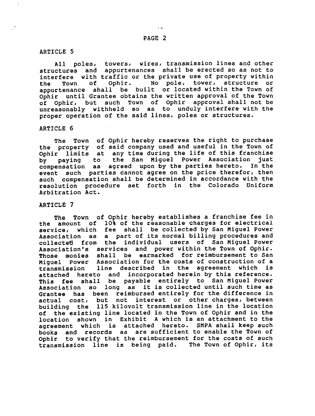# ARTICLE 5

'"

All poles, towers, wires, transmission lines and other structures and appurtenances shall be erected so as not to interfere with traffic or the private use of property within the Town of Ophir. No pole, tower, structure or appurtenance shall be built or located within the Town of Ophir until Grantee obtains the written approval of the Town of Ophir, but such Town of Ophir approval shall not be unreasonably withheld so as to unduly interfere with the proper operation of the said lines, poles or structures.

# ARTICLE 6

The Town of Ophir hereby reserves the right to purchase the property of said company used and useful in the Town of Ophir limits at any time during the life of this franchise by paying to the San Miguel Power Association just compensation as agreed upon by the parties hereto. In the event such parties cannot agree on the price therefor, then such compensation shall be determined in accordance with the resolution procedure set forth in the Colorado Uniform Arbitration Act.

# ARTICLE 7

The Town of Ophir hereby establishes a franchise fee in the amount of 10% of the reasonable charges for electrical service, which fee shall be collected by San Miguel Power Association as a part of its normal billing procedures and collecte6 from the individual users. of San Miguel Power Association's services and power within the Town of Ophir. Those monies shall be earmarked for reimbursement to San Miguel Power Association for the costs of construction of a transmission line described in the agreement which is attached hereto and incorporated herein by this reference. This fee shall be payable entirely to San Miguel Power Association so long as it is collected until such time as Grantee has been reimbursed entirely for the difference in actual cost, but not interest or other charges, between building the 115 kilovolt transmission line in the location of the existing line located in the Town of Ophir and in the location shown in Exhibit A which is an attachment to the agreement which is attached hereto. SMPA shall keep such books and records as are sufficient to enable the Town of Ophir to verify that the reimbursement for the costs of such transmission line is being paid. The Town of Ophir, its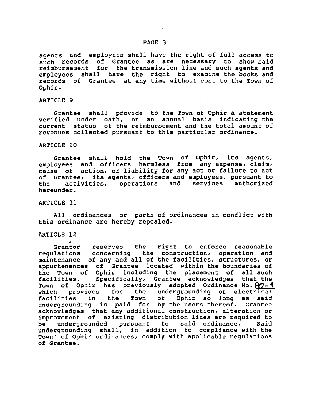### PAGE 3

agents and employees shall have the right of full access to such records of Grantee as are necessary to show-sai reimbursement for the transmission line and such agents and employees shall have the right to examine the books and records of Grantee at any time without cost to the Town of Ophir.

### ARTICLE 9

Grantee shall provide to the Town of Ophir a statement verified under oath, on an annual basis indicating the current status of the reimbursement and the total amount of revenues collected pursuant to this particular ordinance.

# ARTICLE 10

Grantee shall hold the Town of Ophir, its agents employees and officers harmless from any expense, claim cause of action, or liability for any act or failure to ac of Grantee, its agents, officers and employees, pursuant to the activities, operations hereunder. and services authorized

# ARTICLE 11

All ordinances or parts of ordinances in conflict with this ordinance are hereby repealed.

### ARTICLE 12

ere .<br>Grantor reserves the right to enforce reasonab regulations concerning the construction, operation and maintenance of any and all of the facilities, structures, or appurtenances of Grantee located within the boundaries of the Town of Ophir including the placement of all such facilities. Specifically, Grantee acknowledges that the Town of Ophir has previously adopted Ordinance No. 80-1<br>which provides for the undergrounding of electrical which provides for the undergrounding<br>facilities in the Town of Ophir so facilities in the Town of Ophir so long as said undergrounding is paid for by the users thereof. Grantee acknowledges that any additional construction, alteration or improvement of existing distribution lines are required to be undergrounded pursuant to said ordinance. Said undecgrounding shall, in addition to compliance with the Town- of Ophir ordinances, comply with applicable regulations of Grantee.